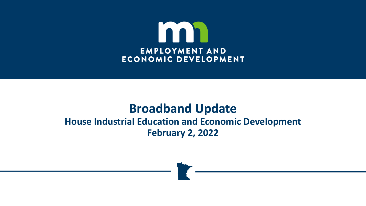

### **Broadband Update House Industrial Education and Economic Development February 2, 2022**

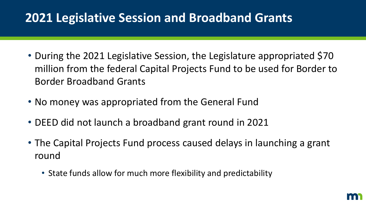## **2021 Legislative Session and Broadband Grants**

- During the 2021 Legislative Session, the Legislature appropriated \$70 million from the federal Capital Projects Fund to be used for Border to Border Broadband Grants
- No money was appropriated from the General Fund
- DEED did not launch a broadband grant round in 2021
- The Capital Projects Fund process caused delays in launching a grant round
	- State funds allow for much more flexibility and predictability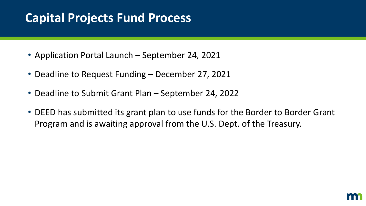# **Capital Projects Fund Process**

- Application Portal Launch September 24, 2021
- Deadline to Request Funding December 27, 2021
- Deadline to Submit Grant Plan September 24, 2022
- DEED has submitted its grant plan to use funds for the Border to Border Grant Program and is awaiting approval from the U.S. Dept. of the Treasury.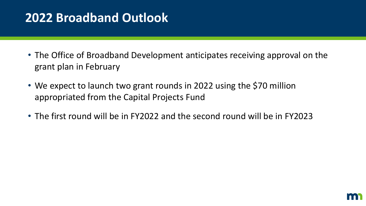## **2022 Broadband Outlook**

- The Office of Broadband Development anticipates receiving approval on the grant plan in February
- We expect to launch two grant rounds in 2022 using the \$70 million appropriated from the Capital Projects Fund
- The first round will be in FY2022 and the second round will be in FY2023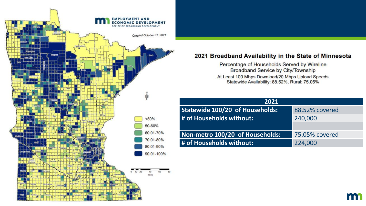

#### 2021 Broadband Availability in the State of Minnesota

Percentage of Households Served by Wireline Broadband Service by City/Township At Least 100 Mbps Download/20 Mbps Upload Speeds Statewide Availability: 88.52%, Rural: 75.05%

| 2021                            |                |
|---------------------------------|----------------|
| Statewide 100/20 of Households: | 88.52% covered |
| # of Households without:        | 240,000        |
|                                 |                |
| Non-metro 100/20 of Households: | 75.05% covered |
| # of Households without:        | 224,000        |

m